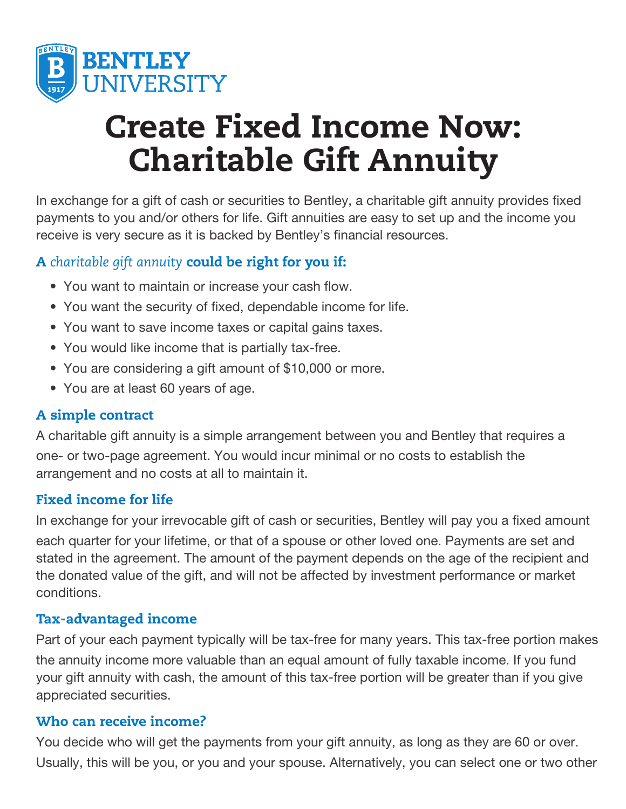

# Create Fixed Income Now: Charitable Gift Annuity

In exchange for a gift of cash or securities to Bentley, a charitable gift annuity provides fixed payments to you and/or others for life. Gift annuities are easy to set up and the income you receive is very secure as it is backed by Bentley's financial resources.

# A *charitable gift annuity* could be right for you if:

- You want to maintain or increase your cash flow.
- You want the security of fixed, dependable income for life.
- You want to save income taxes or capital gains taxes.
- You would like income that is partially tax-free.
- You are considering a gift amount of \$10,000 or more.
- You are at least 60 years of age.

## A simple contract

A charitable gift annuity is a simple arrangement between you and Bentley that requires a one- or two-page agreement. You would incur minimal or no costs to establish the arrangement and no costs at all to maintain it.

## Fixed income for life

In exchange for your irrevocable gift of cash or securities, Bentley will pay you a fixed amount each quarter for your lifetime, or that of a spouse or other loved one. Payments are set and stated in the agreement. The amount of the payment depends on the age of the recipient and the donated value of the gift, and will not be affected by investment performance or market conditions.

#### Tax-advantaged income

Part of your each payment typically will be tax-free for many years. This tax-free portion makes the annuity income more valuable than an equal amount of fully taxable income. If you fund your gift annuity with cash, the amount of this tax-free portion will be greater than if you give appreciated securities.

#### Who can receive income?

You decide who will get the payments from your gift annuity, as long as they are 60 or over. Usually, this will be you, or you and your spouse. Alternatively, you can select one or two other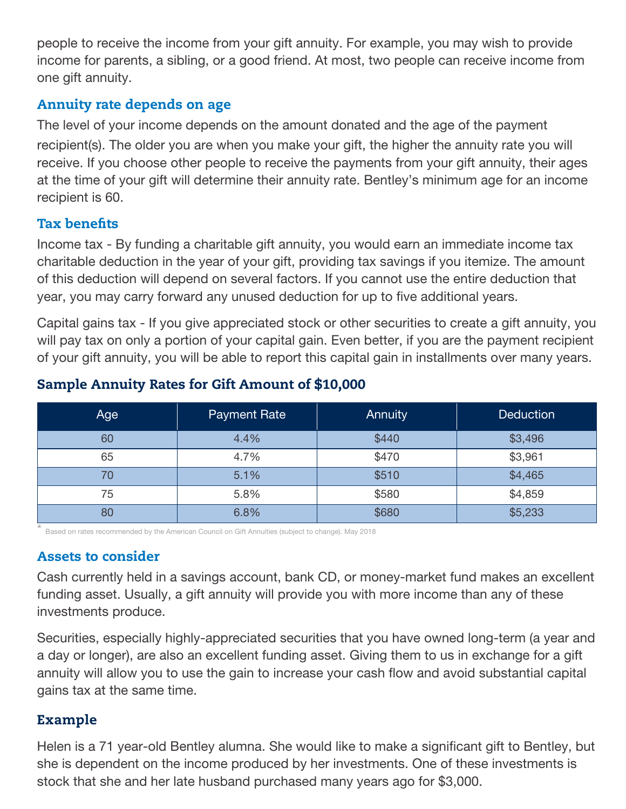people to receive the income from your gift annuity. For example, you may wish to provide income for parents, a sibling, or a good friend. At most, two people can receive income from one gift annuity.

#### Annuity rate depends on age

The level of your income depends on the amount donated and the age of the payment recipient(s). The older you are when you make your gift, the higher the annuity rate you will receive. If you choose other people to receive the payments from your gift annuity, their ages at the time of your gift will determine their annuity rate. Bentley's minimum age for an income recipient is 60.

#### Tax benefits

Income tax - By funding a charitable gift annuity, you would earn an immediate income tax charitable deduction in the year of your gift, providing tax savings if you itemize. The amount of this deduction will depend on several factors. If you cannot use the entire deduction that year, you may carry forward any unused deduction for up to five additional years.

Capital gains tax - If you give appreciated stock or other securities to create a gift annuity, you will pay tax on only a portion of your capital gain. Even better, if you are the payment recipient of your gift annuity, you will be able to report this capital gain in installments over many years.

| Age | <b>Payment Rate</b> | <b>Annuity</b> | <b>Deduction</b> |
|-----|---------------------|----------------|------------------|
| 60  | 4.4%                | \$440          | \$3,496          |
| 65  | 4.7%                | \$470          | \$3,961          |
| 70  | 5.1%                | \$510          | \$4,465          |
| 75  | 5.8%                | \$580          | \$4,859          |
| 80  | 6.8%                | \$680          | \$5,233          |

#### Sample Annuity Rates for Gift Amount of \$10,000

\* Based on rates recommended by the American Council on Gift Annuities (subject to change). May 2018

#### Assets to consider

Cash currently held in a savings account, bank CD, or money-market fund makes an excellent funding asset. Usually, a gift annuity will provide you with more income than any of these investments produce.

Securities, especially highly-appreciated securities that you have owned long-term (a year and a day or longer), are also an excellent funding asset. Giving them to us in exchange for a gift annuity will allow you to use the gain to increase your cash flow and avoid substantial capital gains tax at the same time.

#### Example

Helen is a 71 year-old Bentley alumna. She would like to make a significant gift to Bentley, but she is dependent on the income produced by her investments. One of these investments is stock that she and her late husband purchased many years ago for \$3,000.